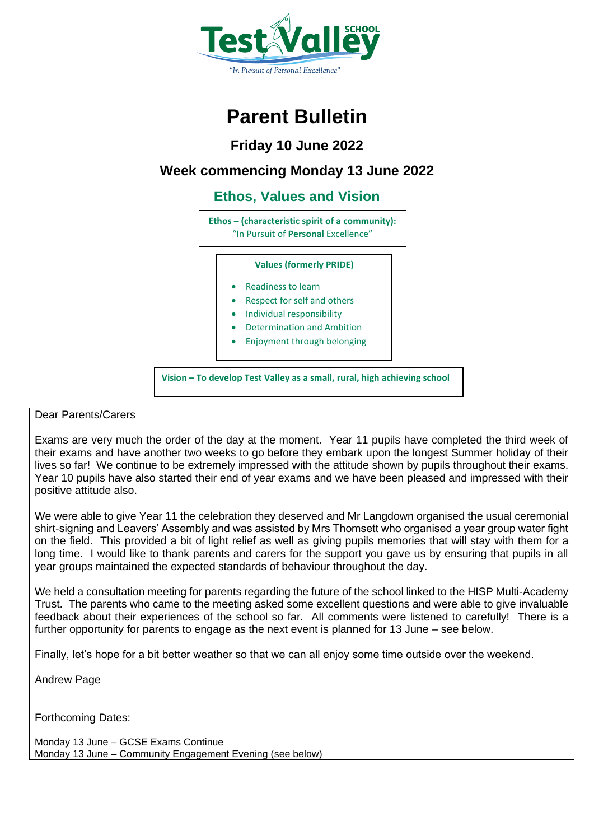

## **Parent Bulletin**

**Friday 10 June 2022**

### **Week commencing Monday 13 June 2022**

### **Ethos, Values and Vision**

**Ethos – (characteristic spirit of a community):** "In Pursuit of **Personal** Excellence"

### **Values (formerly PRIDE)**

- Readiness to learn
- Respect for self and others
- Individual responsibility
- Determination and Ambition
- Enjoyment through belonging

**Vision – To develop Test Valley as a small, rural, high achieving school**

### Dear Parents/Carers

Exams are very much the order of the day at the moment. Year 11 pupils have completed the third week of their exams and have another two weeks to go before they embark upon the longest Summer holiday of their lives so far! We continue to be extremely impressed with the attitude shown by pupils throughout their exams. Year 10 pupils have also started their end of year exams and we have been pleased and impressed with their positive attitude also.

We were able to give Year 11 the celebration they deserved and Mr Langdown organised the usual ceremonial shirt-signing and Leavers' Assembly and was assisted by Mrs Thomsett who organised a year group water fight on the field. This provided a bit of light relief as well as giving pupils memories that will stay with them for a long time. I would like to thank parents and carers for the support you gave us by ensuring that pupils in all year groups maintained the expected standards of behaviour throughout the day.

We held a consultation meeting for parents regarding the future of the school linked to the HISP Multi-Academy Trust. The parents who came to the meeting asked some excellent questions and were able to give invaluable feedback about their experiences of the school so far. All comments were listened to carefully! There is a further opportunity for parents to engage as the next event is planned for 13 June – see below.

Finally, let's hope for a bit better weather so that we can all enjoy some time outside over the weekend.

Andrew Page

Forthcoming Dates:

Monday 13 June – GCSE Exams Continue Monday 13 June – Community Engagement Evening (see below)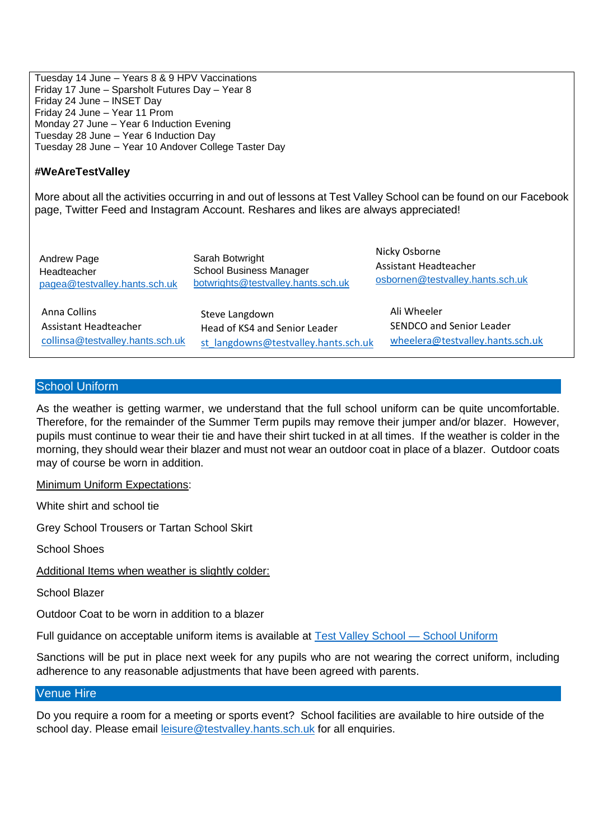Tuesday 14 June – Years 8 & 9 HPV Vaccinations Friday 17 June – Sparsholt Futures Day – Year 8 Friday 24 June – INSET Day Friday 24 June – Year 11 Prom Monday 27 June – Year 6 Induction Evening Tuesday 28 June – Year 6 Induction Day Tuesday 28 June – Year 10 Andover College Taster Day

### **#WeAreTestValley**

More about all the activities occurring in and out of lessons at Test Valley School can be found on our Facebook page, Twitter Feed and Instagram Account. Reshares and likes are always appreciated!

Andrew Page Headteacher [pagea@testvalley.hants.sch.uk](mailto:pagea@testvalley.hants.sch.uk) Sarah Botwright School Business Manager [botwrights@testvalley.hants.sch.uk](mailto:botwrights@testvalley.hants.sch.uk)

Anna Collins Assistant Headteacher [collinsa](mailto:collinsa@testvalley.hants.sch.uk)[@testvalley.hants.sch.uk](mailto:collinsa@testvalley.hants.sch.uk) Steve Langdown Head of KS4 and Senior Leader [st\\_langdowns@testvalley.hants.sch.uk](mailto:st_langdowns@testvalley.hants.sch.uk)

Nicky Osborne Assistant Headteacher [osbornen@testvalley.hants.sch.uk](mailto:osbornen@testvalley.hants.sch.uk)

Ali Wheeler SENDCO and Senior Leader [wheelera@testvalley.hants.sch.uk](mailto:wheelera@testvalley.hants.sch.uk)

### School Uniform

As the weather is getting warmer, we understand that the full school uniform can be quite uncomfortable. Therefore, for the remainder of the Summer Term pupils may remove their jumper and/or blazer. However, pupils must continue to wear their tie and have their shirt tucked in at all times. If the weather is colder in the morning, they should wear their blazer and must not wear an outdoor coat in place of a blazer. Outdoor coats may of course be worn in addition.

Minimum Uniform Expectations:

White shirt and school tie

Grey School Trousers or Tartan School Skirt

School Shoes

Additional Items when weather is slightly colder:

School Blazer

Outdoor Coat to be worn in addition to a blazer

Full guidance on acceptable uniform items is available at [Test Valley School —](https://www.testvalley.hants.sch.uk/school-uniform/) School Uniform

Sanctions will be put in place next week for any pupils who are not wearing the correct uniform, including adherence to any reasonable adjustments that have been agreed with parents.

### Venue Hire

Do you require a room for a meeting or sports event? School facilities are available to hire outside of the school day. Please email [leisure@testvalley.hants.sch.uk](mailto:leisure@testvalley.hants.sch.uk) for all enquiries.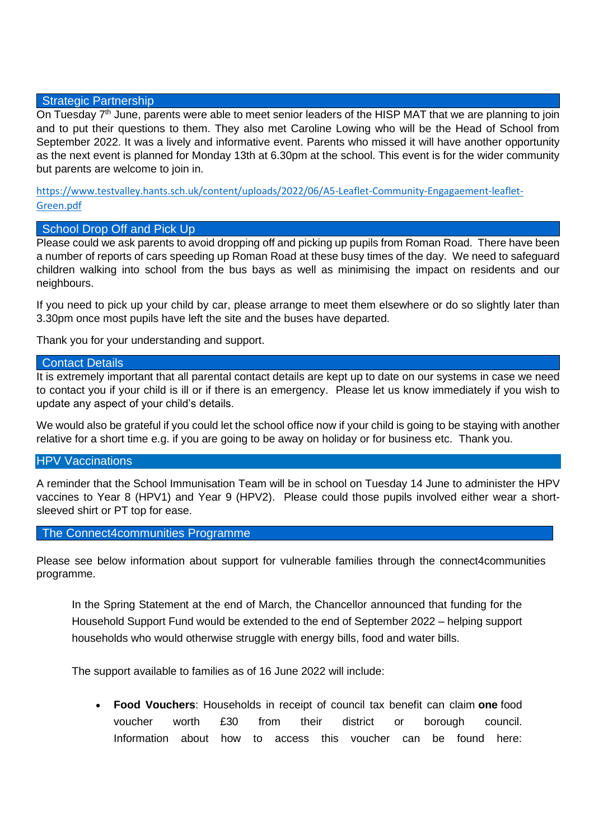### Strategic Partnership

On Tuesday  $7<sup>th</sup>$  June, parents were able to meet senior leaders of the HISP MAT that we are planning to join and to put their questions to them. They also met Caroline Lowing who will be the Head of School from September 2022. It was a lively and informative event. Parents who missed it will have another opportunity as the next event is planned for Monday 13th at 6.30pm at the school. This event is for the wider community but parents are welcome to join in.

[https://www.testvalley.hants.sch.uk/content/uploads/2022/06/A5-Leaflet-Community-Engagaement-leaflet-](https://www.testvalley.hants.sch.uk/content/uploads/2022/06/A5-Leaflet-Community-Engagaement-leaflet-Green.pdf)[Green.pdf](https://www.testvalley.hants.sch.uk/content/uploads/2022/06/A5-Leaflet-Community-Engagaement-leaflet-Green.pdf)

### School Drop Off and Pick Up

Please could we ask parents to avoid dropping off and picking up pupils from Roman Road. There have been a number of reports of cars speeding up Roman Road at these busy times of the day. We need to safeguard children walking into school from the bus bays as well as minimising the impact on residents and our neighbours.

If you need to pick up your child by car, please arrange to meet them elsewhere or do so slightly later than 3.30pm once most pupils have left the site and the buses have departed.

Thank you for your understanding and support.

### Contact Details

It is extremely important that all parental contact details are kept up to date on our systems in case we need to contact you if your child is ill or if there is an emergency. Please let us know immediately if you wish to update any aspect of your child's details.

We would also be grateful if you could let the school office now if your child is going to be staying with another relative for a short time e.g. if you are going to be away on holiday or for business etc. Thank you.

### **HPV Vaccinations**

A reminder that the School Immunisation Team will be in school on Tuesday 14 June to administer the HPV vaccines to Year 8 (HPV1) and Year 9 (HPV2). Please could those pupils involved either wear a shortsleeved shirt or PT top for ease.

### The Connect4communities Programme

Please see below information about support for vulnerable families through the connect4communities programme.

In the Spring Statement at the end of March, the Chancellor announced that funding for the Household Support Fund would be extended to the end of September 2022 – helping support households who would otherwise struggle with energy bills, food and water bills.

The support available to families as of 16 June 2022 will include:

• **Food Vouchers**: Households in receipt of council tax benefit can claim **one** food voucher worth £30 from their district or borough council. Information about how to access this voucher can be found here: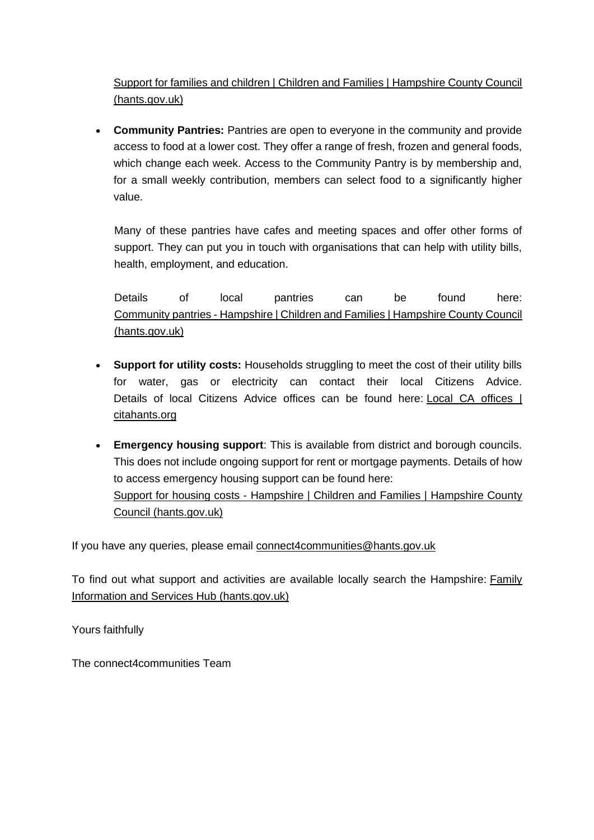[Support for families and children | Children and Families |](https://www.hants.gov.uk/socialcareandhealth/childrenandfamilies/connectforcommunities/supportforfamilies) Hampshire County Council [\(hants.gov.uk\)](https://www.hants.gov.uk/socialcareandhealth/childrenandfamilies/connectforcommunities/supportforfamilies)

• **Community Pantries:** Pantries are open to everyone in the community and provide access to food at a lower cost. They offer a range of fresh, frozen and general foods, which change each week. Access to the Community Pantry is by membership and, for a small weekly contribution, members can select food to a significantly higher value.

Many of these pantries have cafes and meeting spaces and offer other forms of support. They can put you in touch with organisations that can help with utility bills, health, employment, and education.

Details of local pantries can be found here: Community pantries - [Hampshire | Children and Families | Hampshire County Council](https://www.hants.gov.uk/socialcareandhealth/childrenandfamilies/connectforcommunities/communitypantries-overview/communitypantries)  [\(hants.gov.uk\)](https://www.hants.gov.uk/socialcareandhealth/childrenandfamilies/connectforcommunities/communitypantries-overview/communitypantries)

- **Support for utility costs:** Households struggling to meet the cost of their utility bills for water, gas or electricity can contact their local Citizens Advice. Details of local Citizens Advice offices can be found here: Local CA offices | [citahants.org](https://citahants.org/need-advice/local%2520ca%2520offices.html)
- **Emergency housing support**: This is available from district and borough councils. This does not include ongoing support for rent or mortgage payments. Details of how to access emergency housing support can be found here: Support for housing costs - [Hampshire | Children and Families | Hampshire County](https://www.hants.gov.uk/socialcareandhealth/childrenandfamilies/connectforcommunities/supportforfamilies/housing-support/housing-support-hants)  [Council \(hants.gov.uk\)](https://www.hants.gov.uk/socialcareandhealth/childrenandfamilies/connectforcommunities/supportforfamilies/housing-support/housing-support-hants)

If you have any queries, please email [connect4communities@hants.gov.uk](mailto:connect4communities@hants.gov.uk)

To find out what support and activities are available locally search the Hampshire: Family [Information and Services Hub \(hants.gov.uk\)](https://fish.hants.gov.uk/kb5/hampshire/directory/home.page)

Yours faithfully

The connect4communities Team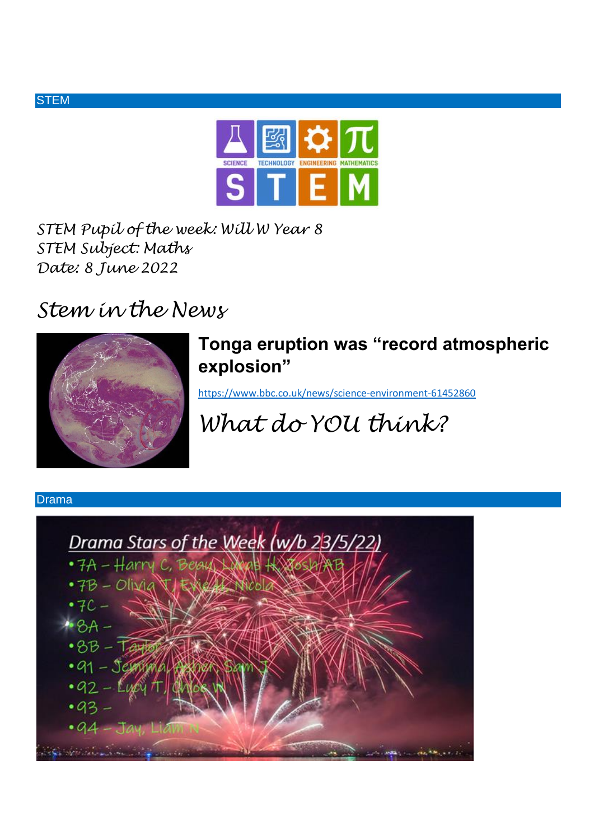

*STEM Pupil of the week: Will W Year 8 STEM Subject: Maths Date: 8 June 2022*

## *Stem in the News*



### **Tonga eruption was "record atmospheric explosion"**

<https://www.bbc.co.uk/news/science-environment-61452860>

# *What do YOU think?*

### Drama

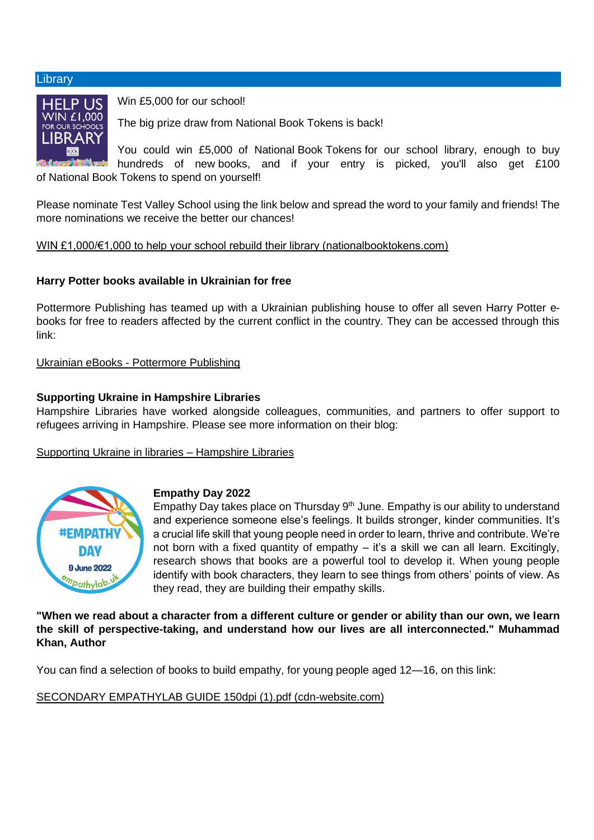#### **Library**



Win £5,000 for our school!

The big prize draw from National Book Tokens is back!

You could win £5,000 of National Book Tokens for our school library, enough to buy hundreds of new books, and if your entry is picked, you'll also get £100 of National Book Tokens to spend on yourself!

Please nominate Test Valley School using the link below and spread the word to your family and friends! The more nominations we receive the better our chances!

[WIN £1,000/€1,000 to help your school rebuild their library \(nationalbooktokens.com\)](https://www.nationalbooktokens.com/schools?utm_source=nbt&utm_medium=email&utm_content=nominate-your-school&utm_campaign=20220607_schools)

### **Harry Potter books available in Ukrainian for free**

Pottermore Publishing has teamed up with a Ukrainian publishing house to offer all seven Harry Potter ebooks for free to readers affected by the current conflict in the country. They can be accessed through this link:

Ukrainian eBooks - [Pottermore Publishing](https://www.pottermorepublishing.com/ukrainian-ebooks/)

### **Supporting Ukraine in Hampshire Libraries**

Hampshire Libraries have worked alongside colleagues, communities, and partners to offer support to refugees arriving in Hampshire. Please see more information on their blog:

### [Supporting Ukraine in libraries –](https://hampshirelibraries.blog/2022/05/19/supporting-ukraine-in-libraries/) Hampshire Libraries



### **Empathy Day 2022**

Empathy Day takes place on Thursday  $9<sup>th</sup>$  June. Empathy is our ability to understand and experience someone else's feelings. It builds stronger, kinder communities. It's a crucial life skill that young people need in order to learn, thrive and contribute. We're not born with a fixed quantity of empathy – it's a skill we can all learn. Excitingly, research shows that books are a powerful tool to develop it. When young people identify with book characters, they learn to see things from others' points of view. As they read, they are building their empathy skills.

**"When we read about a character from a different culture or gender or ability than our own, we learn the skill of perspective-taking, and understand how our lives are all interconnected." Muhammad Khan, Author**

You can find a selection of books to build empathy, for young people aged 12—16, on this link:

[SECONDARY EMPATHYLAB GUIDE 150dpi \(1\).pdf \(cdn-website.com\)](https://irp.cdn-website.com/b2f3fbc2/files/uploaded/SECONDARY%20EMPATHYLAB%20GUIDE%20150dpi%20%281%29.pdf)